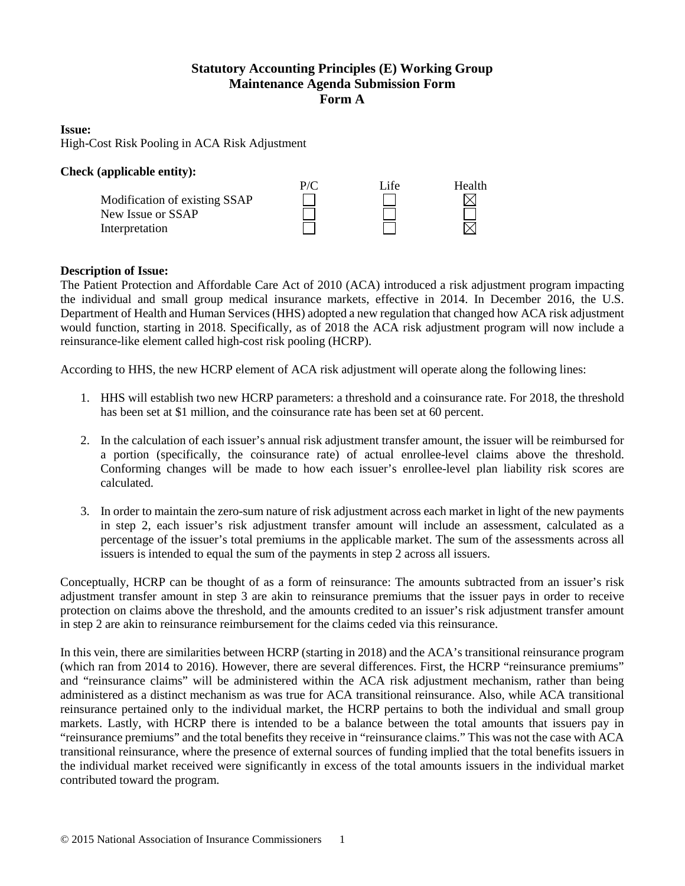# **Statutory Accounting Principles (E) Working Group Maintenance Agenda Submission Form Form A**

### **Issue:**

High-Cost Risk Pooling in ACA Risk Adjustment

#### **Check (applicable entity):** P/C Life Health Modification of existing SSAP  $\boxtimes$ New Issue or SSAP Interpretation

## **Description of Issue:**

The Patient Protection and Affordable Care Act of 2010 (ACA) introduced a risk adjustment program impacting the individual and small group medical insurance markets, effective in 2014. In December 2016, the U.S. Department of Health and Human Services (HHS) adopted a new regulation that changed how ACA risk adjustment would function, starting in 2018. Specifically, as of 2018 the ACA risk adjustment program will now include a reinsurance-like element called high-cost risk pooling (HCRP).

According to HHS, the new HCRP element of ACA risk adjustment will operate along the following lines:

- 1. HHS will establish two new HCRP parameters: a threshold and a coinsurance rate. For 2018, the threshold has been set at \$1 million, and the coinsurance rate has been set at 60 percent.
- 2. In the calculation of each issuer's annual risk adjustment transfer amount, the issuer will be reimbursed for a portion (specifically, the coinsurance rate) of actual enrollee-level claims above the threshold. Conforming changes will be made to how each issuer's enrollee-level plan liability risk scores are calculated.
- 3. In order to maintain the zero-sum nature of risk adjustment across each market in light of the new payments in step 2, each issuer's risk adjustment transfer amount will include an assessment, calculated as a percentage of the issuer's total premiums in the applicable market. The sum of the assessments across all issuers is intended to equal the sum of the payments in step 2 across all issuers.

Conceptually, HCRP can be thought of as a form of reinsurance: The amounts subtracted from an issuer's risk adjustment transfer amount in step 3 are akin to reinsurance premiums that the issuer pays in order to receive protection on claims above the threshold, and the amounts credited to an issuer's risk adjustment transfer amount in step 2 are akin to reinsurance reimbursement for the claims ceded via this reinsurance.

In this vein, there are similarities between HCRP (starting in 2018) and the ACA's transitional reinsurance program (which ran from 2014 to 2016). However, there are several differences. First, the HCRP "reinsurance premiums" and "reinsurance claims" will be administered within the ACA risk adjustment mechanism, rather than being administered as a distinct mechanism as was true for ACA transitional reinsurance. Also, while ACA transitional reinsurance pertained only to the individual market, the HCRP pertains to both the individual and small group markets. Lastly, with HCRP there is intended to be a balance between the total amounts that issuers pay in "reinsurance premiums" and the total benefits they receive in "reinsurance claims." This was not the case with ACA transitional reinsurance, where the presence of external sources of funding implied that the total benefits issuers in the individual market received were significantly in excess of the total amounts issuers in the individual market contributed toward the program.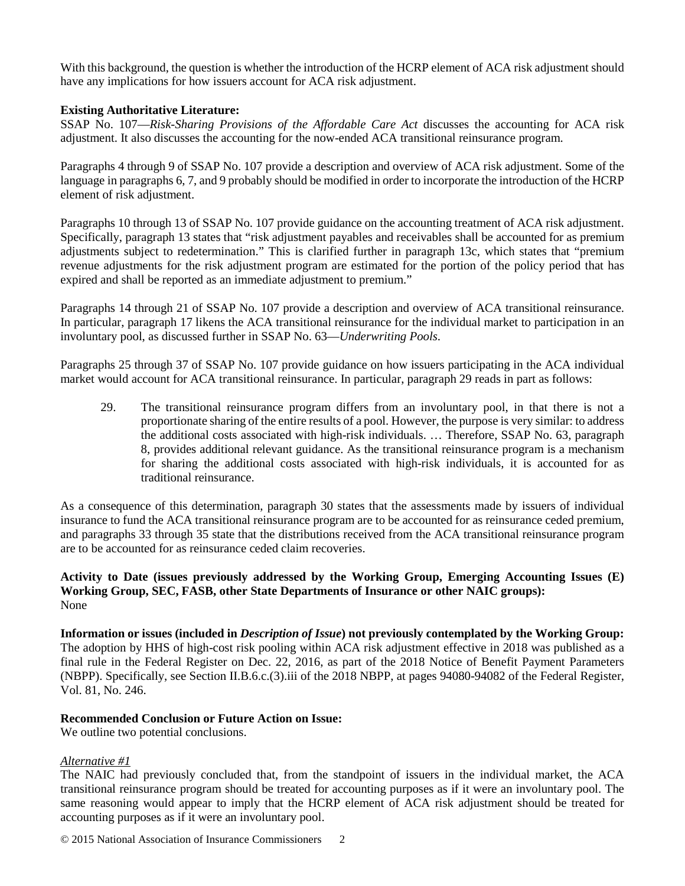With this background, the question is whether the introduction of the HCRP element of ACA risk adjustment should have any implications for how issuers account for ACA risk adjustment.

### **Existing Authoritative Literature:**

SSAP No. 107—*Risk-Sharing Provisions of the Affordable Care Act* discusses the accounting for ACA risk adjustment. It also discusses the accounting for the now-ended ACA transitional reinsurance program.

Paragraphs 4 through 9 of SSAP No. 107 provide a description and overview of ACA risk adjustment. Some of the language in paragraphs 6, 7, and 9 probably should be modified in order to incorporate the introduction of the HCRP element of risk adjustment.

Paragraphs 10 through 13 of SSAP No. 107 provide guidance on the accounting treatment of ACA risk adjustment. Specifically, paragraph 13 states that "risk adjustment payables and receivables shall be accounted for as premium adjustments subject to redetermination." This is clarified further in paragraph 13c, which states that "premium revenue adjustments for the risk adjustment program are estimated for the portion of the policy period that has expired and shall be reported as an immediate adjustment to premium."

Paragraphs 14 through 21 of SSAP No. 107 provide a description and overview of ACA transitional reinsurance. In particular, paragraph 17 likens the ACA transitional reinsurance for the individual market to participation in an involuntary pool, as discussed further in SSAP No. 63—*Underwriting Pools*.

Paragraphs 25 through 37 of SSAP No. 107 provide guidance on how issuers participating in the ACA individual market would account for ACA transitional reinsurance. In particular, paragraph 29 reads in part as follows:

29. The transitional reinsurance program differs from an involuntary pool, in that there is not a proportionate sharing of the entire results of a pool. However, the purpose is very similar: to address the additional costs associated with high-risk individuals. … Therefore, SSAP No. 63, paragraph 8, provides additional relevant guidance. As the transitional reinsurance program is a mechanism for sharing the additional costs associated with high-risk individuals, it is accounted for as traditional reinsurance.

As a consequence of this determination, paragraph 30 states that the assessments made by issuers of individual insurance to fund the ACA transitional reinsurance program are to be accounted for as reinsurance ceded premium, and paragraphs 33 through 35 state that the distributions received from the ACA transitional reinsurance program are to be accounted for as reinsurance ceded claim recoveries.

## **Activity to Date (issues previously addressed by the Working Group, Emerging Accounting Issues (E) Working Group, SEC, FASB, other State Departments of Insurance or other NAIC groups):** None

**Information or issues (included in** *Description of Issue***) not previously contemplated by the Working Group:** The adoption by HHS of high-cost risk pooling within ACA risk adjustment effective in 2018 was published as a final rule in the Federal Register on Dec. 22, 2016, as part of the 2018 Notice of Benefit Payment Parameters (NBPP). Specifically, see Section II.B.6.c.(3).iii of the 2018 NBPP, at pages 94080-94082 of the Federal Register, Vol. 81, No. 246.

## **Recommended Conclusion or Future Action on Issue:**

We outline two potential conclusions.

#### *Alternative #1*

The NAIC had previously concluded that, from the standpoint of issuers in the individual market, the ACA transitional reinsurance program should be treated for accounting purposes as if it were an involuntary pool. The same reasoning would appear to imply that the HCRP element of ACA risk adjustment should be treated for accounting purposes as if it were an involuntary pool.

© 2015 National Association of Insurance Commissioners 2